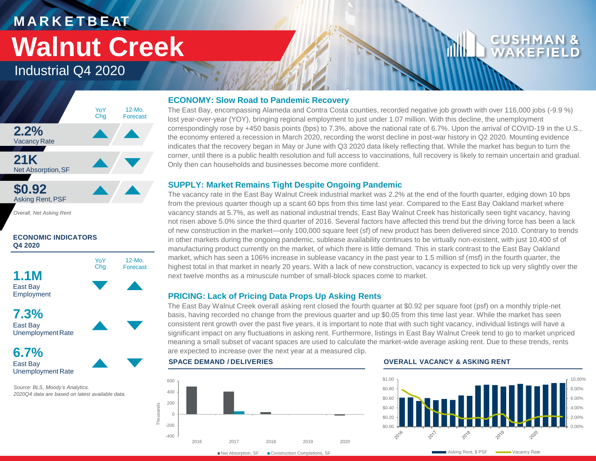# **M A R K E T B E AT Walnut Creek**

### Industrial Q4 2020



*Overall, Net Asking Rent*

#### **ECONOMIC INDICATORS Q4 2020**



East Bay Unemployment Rate

*Source: BLS, Moody's Analytics. 2020Q4 data are based on latest available data.* 

#### **ECONOMY: Slow Road to Pandemic Recovery**

The East Bay, encompassing Alameda and Contra Costa counties, recorded negative job growth with over 116,000 jobs (-9.9 %) lost year-over-year (YOY), bringing regional employment to just under 1.07 million. With this decline, the unemployment correspondingly rose by +450 basis points (bps) to 7.3%, above the national rate of 6.7%. Upon the arrival of COVID-19 in the U.S., the economy entered a recession in March 2020, recording the worst decline in post-war history in Q2 2020. Mounting evidence indicates that the recovery began in May or June with Q3 2020 data likely reflecting that. While the market has begun to turn the corner, until there is a public health resolution and full access to vaccinations, full recovery is likely to remain uncertain and gradual. Only then can households and businesses become more confident.

#### **SUPPLY: Market Remains Tight Despite Ongoing Pandemic**

The vacancy rate in the East Bay Walnut Creek industrial market was 2.2% at the end of the fourth quarter, edging down 10 bps from the previous quarter though up a scant 60 bps from this time last year. Compared to the East Bay Oakland market where vacancy stands at 5.7%, as well as national industrial trends, East Bay Walnut Creek has historically seen tight vacancy, having not risen above 5.0% since the third quarter of 2016. Several factors have affected this trend but the driving force has been a lack of new construction in the market—only 100,000 square feet (sf) of new product has been delivered since 2010. Contrary to trends in other markets during the ongoing pandemic, sublease availability continues to be virtually non-existent, with just 10,400 sf of manufacturing product currently on the market, of which there is little demand. This in stark contrast to the East Bay Oakland market, which has seen a 106% increase in sublease vacancy in the past year to 1.5 million sf (msf) in the fourth quarter, the highest total in that market in nearly 20 years. With a lack of new construction, vacancy is expected to tick up very slightly over the next twelve months as a minuscule number of small-block spaces come to market.

#### **PRICING: Lack of Pricing Data Props Up Asking Rents**

The East Bay Walnut Creek overall asking rent closed the fourth quarter at \$0.92 per square foot (psf) on a monthly triple-net basis, having recorded no change from the previous quarter and up \$0.05 from this time last year. While the market has seen consistent rent growth over the past five years, it is important to note that with such tight vacancy, individual listings will have a significant impact on any fluctuations in asking rent. Furthermore, listings in East Bay Walnut Creek tend to go to market unpriced meaning a small subset of vacant spaces are used to calculate the market-wide average asking rent. Due to these trends, rents are expected to increase over the next year at a measured clip.

### -400 -200 0 200 400 600 2016 2017 2018 2019 2020 Thousands

#### **SPACE DEMAND / DELIVERIES OVERALL VACANCY & ASKING RENT**



CUSHM WAKEFI

■Net Absorption, SF ■ Construction Completions, SF

Asking Rent, \$ PSF **WALK** Vacancy Rate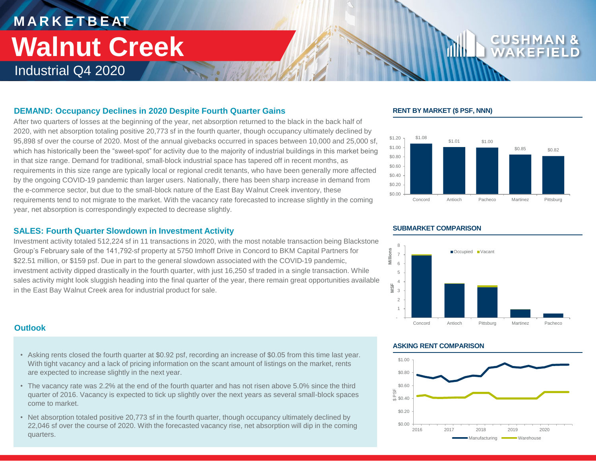## **M A R K E T B E AT** Industrial Q4 2020 **Walnut Creek**

### **RENT BY MARKET (\$ PSF, NNN)**





#### **SUBMARKET COMPARISON**

#### **DEMAND: Occupancy Declines in 2020 Despite Fourth Quarter Gains**

After two quarters of losses at the beginning of the year, net absorption returned to the black in the back half of 2020, with net absorption totaling positive 20,773 sf in the fourth quarter, though occupancy ultimately declined by 95,898 sf over the course of 2020. Most of the annual givebacks occurred in spaces between 10,000 and 25,000 sf, which has historically been the "sweet-spot" for activity due to the majority of industrial buildings in this market being in that size range. Demand for traditional, small-block industrial space has tapered off in recent months, as requirements in this size range are typically local or regional credit tenants, who have been generally more affected by the ongoing COVID-19 pandemic than larger users. Nationally, there has been sharp increase in demand from the e-commerce sector, but due to the small-block nature of the East Bay Walnut Creek inventory, these requirements tend to not migrate to the market. With the vacancy rate forecasted to increase slightly in the coming year, net absorption is correspondingly expected to decrease slightly.

#### **SALES: Fourth Quarter Slowdown in Investment Activity**

Investment activity totaled 512,224 sf in 11 transactions in 2020, with the most notable transaction being Blackstone Group's February sale of the 141,792-sf property at 5750 Imhoff Drive in Concord to BKM Capital Partners for \$22.51 million, or \$159 psf. Due in part to the general slowdown associated with the COVID-19 pandemic, investment activity dipped drastically in the fourth quarter, with just 16,250 sf traded in a single transaction. While sales activity might look sluggish heading into the final quarter of the year, there remain great opportunities available in the East Bay Walnut Creek area for industrial product for sale.

#### **Outlook**

- Asking rents closed the fourth quarter at \$0.92 psf, recording an increase of \$0.05 from this time last year. With tight vacancy and a lack of pricing information on the scant amount of listings on the market, rents are expected to increase slightly in the next year.
- The vacancy rate was 2.2% at the end of the fourth quarter and has not risen above 5.0% since the third quarter of 2016. Vacancy is expected to tick up slightly over the next years as several small-block spaces come to market.
- Net absorption totaled positive 20,773 sf in the fourth quarter, though occupancy ultimately declined by 22,046 sf over the course of 2020. With the forecasted vacancy rise, net absorption will dip in the coming quarters.

#### **ASKING RENT COMPARISON**

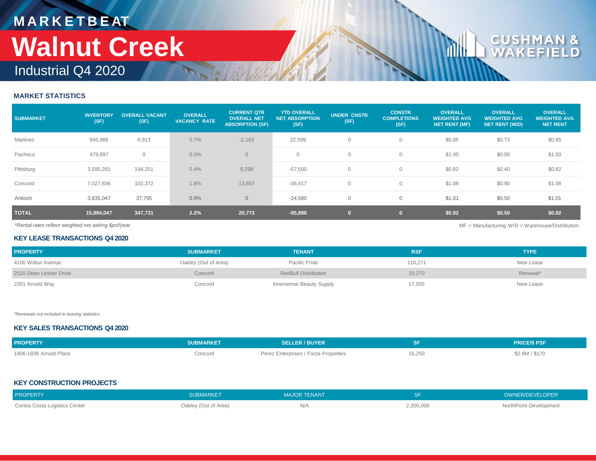# **M A R K E T B E AT Walnut Creek**

## Industrial Q4 2020

#### **MARKET STATISTICS**

| <b>SUBMARKET</b> | <b>INVENTORY</b><br>(SF) | <b>OVERALL VACANT</b><br>(SF) | <b>OVERALL</b><br><b>VACANCY RATE</b> | <b>CURRENT QTR</b><br><b>OVERALL NET</b><br><b>ABSORPTION (SF)</b> | <b>YTD OVERALL</b><br><b>NET ABSORPTION</b><br>(SF) | <b>UNDER CNSTR</b><br>(SF) | <b>CONSTR</b><br><b>COMPLETIONS</b><br>(SF) | <b>OVERALL</b><br><b>WEIGHTED AVG</b><br><b>NET RENT (MF)</b> | <b>OVERALL</b><br><b>WEIGHTED AVG</b><br><b>NET RENT (W/D)</b> | <b>OVERALL</b><br><b>WEIGHTED AVG</b><br><b>NET RENT</b> |
|------------------|--------------------------|-------------------------------|---------------------------------------|--------------------------------------------------------------------|-----------------------------------------------------|----------------------------|---------------------------------------------|---------------------------------------------------------------|----------------------------------------------------------------|----------------------------------------------------------|
| Martinez         | 945,986                  | 6,913                         | 0.7%                                  | $-2,183$                                                           | 22,599                                              | $\circ$                    |                                             | \$0.85                                                        | \$0.73                                                         | \$0.85                                                   |
| Pacheco          | 479,897                  | $\circ$                       | $0.0\%$                               | $\overline{0}$                                                     | $\mathbf{0}$                                        | $\circ$                    | $\Omega$                                    | \$1.00                                                        | \$0.00                                                         | \$1.00                                                   |
| Pittsburg        | 3,595,281                | 194,251                       | 5.4%                                  | 9,299                                                              | $-57,500$                                           | $\mathbf 0$                | $\Omega$                                    | \$0.82                                                        | \$0.40                                                         | \$0.82                                                   |
| Concord          | 7,027,836                | 102,372                       | 1.6%                                  | 13,657                                                             | $-36,417$                                           | $\mathbf 0$                |                                             | \$1.08                                                        | \$0.90                                                         | \$1.08                                                   |
| Antioch          | 3,835,047                | 37,795                        | 0.9%                                  | $\overline{0}$                                                     | $-24,580$                                           | $\mathbf 0$                | $\Omega$                                    | \$1.01                                                        | \$0.50                                                         | \$1.01                                                   |
| <b>TOTAL</b>     | 15,884,047               | 347,731                       | 2.2%                                  | 20,773                                                             | $-95,898$                                           | $\mathbf{0}$               | $\mathbf{0}$                                | \$0.92                                                        | \$0.50                                                         | \$0.92                                                   |

*\*Rental rates reflect weighted net asking \$psf/year* MF = Manufacturing W/D = Warehouse/Distribution

 $\mathbf{c}$ U

#### **KEY LEASE TRANSACTIONS Q4 2020**

| <b>PROPERTY</b>        | <b>SUBMARKET</b>     | <b>TENANT</b>               | <b>RSF</b> | <b>TYPE</b> |
|------------------------|----------------------|-----------------------------|------------|-------------|
| 4100 Wilbur Avenue     | Oakley (Out of Area) | Pacific Pride               | 110.271    | New Lease   |
| 2510 Dean Lesher Drive | Concord              | <b>RedBull Distribution</b> | 20,270     | Renewal*    |
| 2301 Arnold Way        | Concord              | Innersense Beauty Supply    | 17,555     | New Lease   |

*\*Renewals not included in leasing statistics*

#### **KEY SALES TRANSACTIONS Q4 2020**

| <b>PROPERTY</b>        | <b>SUBMARKET</b> | <b>SELLER / BUYER</b>                |        | <b>PRICE/S PSF</b> |
|------------------------|------------------|--------------------------------------|--------|--------------------|
| 1806-1836 Arnold Place | Concord          | Perez Enterprises / Forza Properties | 16,250 | \$2.8M / \$170     |

#### **KEY CONSTRUCTION PROJECTS**

| <b>PROPERTY</b>               | SUBMARKET            | <b>MAJOR TENANT</b> |           | OWNER/DEVELOPER        |
|-------------------------------|----------------------|---------------------|-----------|------------------------|
| Contra Costa Logistics Center | Oakley (Out of Area) | IN/H                | 2,200,000 | NorthPoint Development |